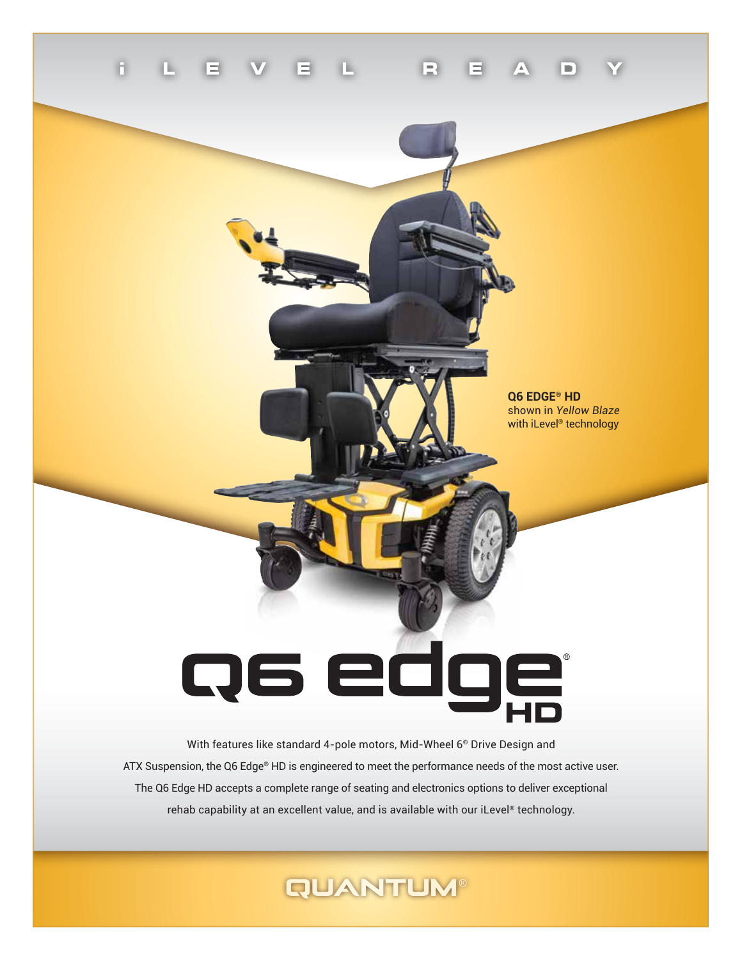

**Q6 EDGE® HD** shown in *Yellow Blaze* with iLevel® technology

# Q6 ed 71 HD

With features like standard 4-pole motors, Mid-Wheel 6® Drive Design and ATX Suspension, the Q6 Edge® HD is engineered to meet the performance needs of the most active user. The Q6 Edge HD accepts a complete range of seating and electronics options to deliver exceptional rehab capability at an excellent value, and is available with our iLevel® technology.